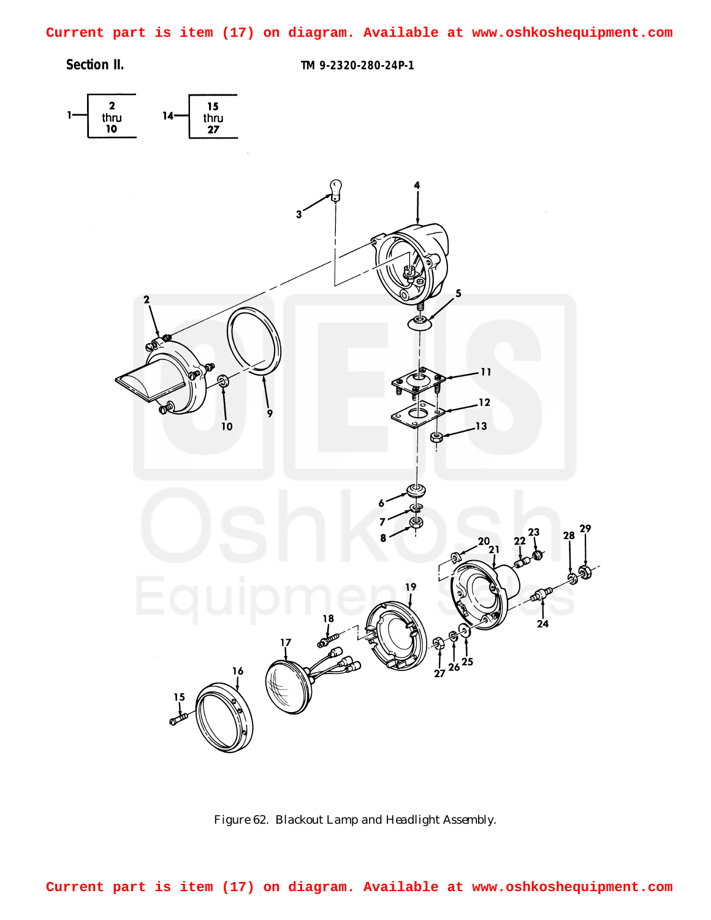<span id="page-0-0"></span>**Current part is item (17) on diagram. Available at www.oshkoshequipment.com**

**Section II. TM 9-2320-280-24P-1**



*Figure 62. Blackout Lamp and Headlight Assembly.*

**Current part is item (17) on diagram. Available at www.oshkoshequipment.com**